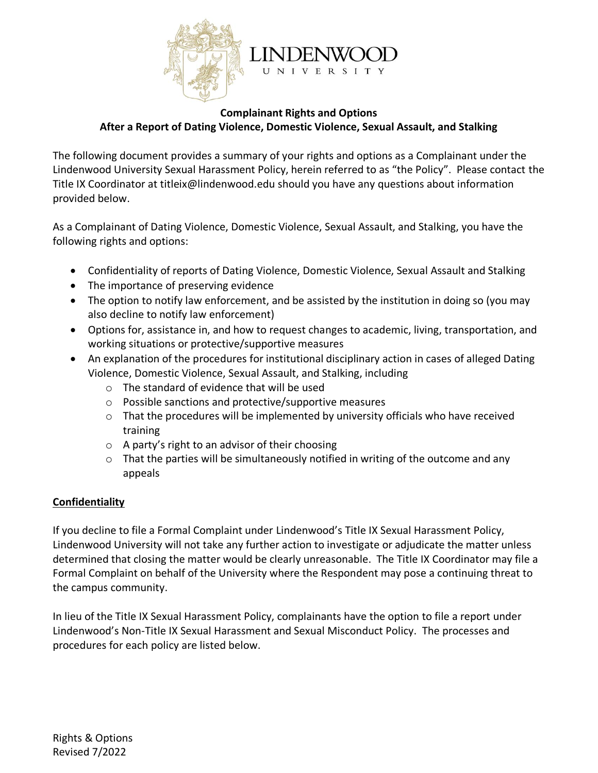

### **Complainant Rights and Options After a Report of Dating Violence, Domestic Violence, Sexual Assault, and Stalking**

The following document provides a summary of your rights and options as a Complainant under the Lindenwood University Sexual Harassment Policy, herein referred to as "the Policy". Please contact the Title IX Coordinator at titleix@lindenwood.edu should you have any questions about information provided below.

As a Complainant of Dating Violence, Domestic Violence, Sexual Assault, and Stalking, you have the following rights and options:

- Confidentiality of reports of Dating Violence, Domestic Violence, Sexual Assault and Stalking
- The importance of preserving evidence
- The option to notify law enforcement, and be assisted by the institution in doing so (you may also decline to notify law enforcement)
- Options for, assistance in, and how to request changes to academic, living, transportation, and working situations or protective/supportive measures
- An explanation of the procedures for institutional disciplinary action in cases of alleged Dating Violence, Domestic Violence, Sexual Assault, and Stalking, including
	- o The standard of evidence that will be used
	- o Possible sanctions and protective/supportive measures
	- o That the procedures will be implemented by university officials who have received training
	- o A party's right to an advisor of their choosing
	- o That the parties will be simultaneously notified in writing of the outcome and any appeals

### **Confidentiality**

If you decline to file a Formal Complaint under Lindenwood's Title IX Sexual Harassment Policy, Lindenwood University will not take any further action to investigate or adjudicate the matter unless determined that closing the matter would be clearly unreasonable. The Title IX Coordinator may file a Formal Complaint on behalf of the University where the Respondent may pose a continuing threat to the campus community.

In lieu of the Title IX Sexual Harassment Policy, complainants have the option to file a report under Lindenwood's Non-Title IX Sexual Harassment and Sexual Misconduct Policy. The processes and procedures for each policy are listed below.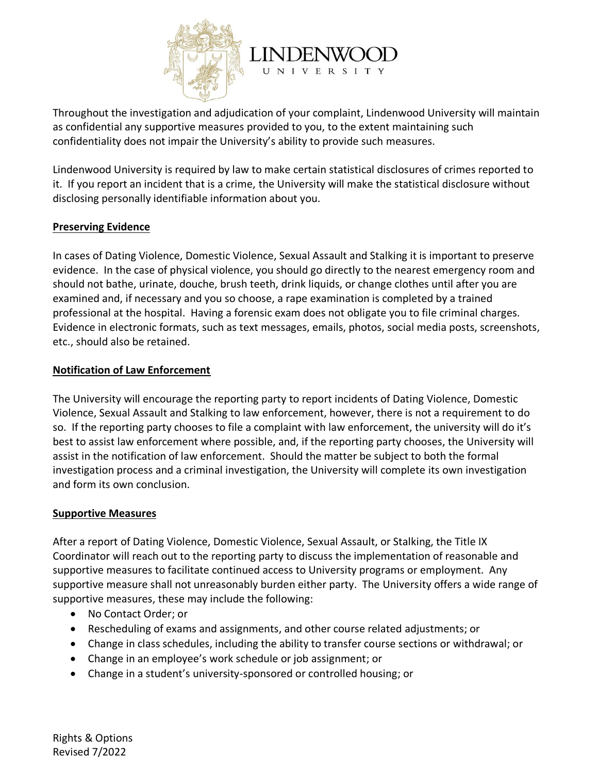

Throughout the investigation and adjudication of your complaint, Lindenwood University will maintain as confidential any supportive measures provided to you, to the extent maintaining such confidentiality does not impair the University's ability to provide such measures.

Lindenwood University is required by law to make certain statistical disclosures of crimes reported to it. If you report an incident that is a crime, the University will make the statistical disclosure without disclosing personally identifiable information about you.

### **Preserving Evidence**

In cases of Dating Violence, Domestic Violence, Sexual Assault and Stalking it is important to preserve evidence. In the case of physical violence, you should go directly to the nearest emergency room and should not bathe, urinate, douche, brush teeth, drink liquids, or change clothes until after you are examined and, if necessary and you so choose, a rape examination is completed by a trained professional at the hospital. Having a forensic exam does not obligate you to file criminal charges. Evidence in electronic formats, such as text messages, emails, photos, social media posts, screenshots, etc., should also be retained.

# **Notification of Law Enforcement**

The University will encourage the reporting party to report incidents of Dating Violence, Domestic Violence, Sexual Assault and Stalking to law enforcement, however, there is not a requirement to do so. If the reporting party chooses to file a complaint with law enforcement, the university will do it's best to assist law enforcement where possible, and, if the reporting party chooses, the University will assist in the notification of law enforcement. Should the matter be subject to both the formal investigation process and a criminal investigation, the University will complete its own investigation and form its own conclusion.

### **Supportive Measures**

After a report of Dating Violence, Domestic Violence, Sexual Assault, or Stalking, the Title IX Coordinator will reach out to the reporting party to discuss the implementation of reasonable and supportive measures to facilitate continued access to University programs or employment. Any supportive measure shall not unreasonably burden either party. The University offers a wide range of supportive measures, these may include the following:

- No Contact Order; or
- Rescheduling of exams and assignments, and other course related adjustments; or
- Change in class schedules, including the ability to transfer course sections or withdrawal; or
- Change in an employee's work schedule or job assignment; or
- Change in a student's university-sponsored or controlled housing; or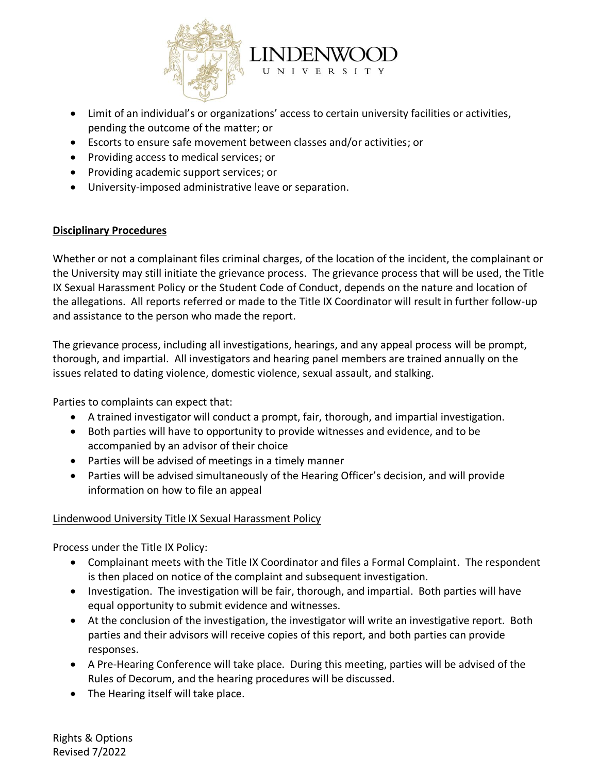

- Limit of an individual's or organizations' access to certain university facilities or activities, pending the outcome of the matter; or
- Escorts to ensure safe movement between classes and/or activities; or
- Providing access to medical services; or
- Providing academic support services; or
- University-imposed administrative leave or separation.

### **Disciplinary Procedures**

Whether or not a complainant files criminal charges, of the location of the incident, the complainant or the University may still initiate the grievance process. The grievance process that will be used, the Title IX Sexual Harassment Policy or the Student Code of Conduct, depends on the nature and location of the allegations. All reports referred or made to the Title IX Coordinator will result in further follow-up and assistance to the person who made the report.

The grievance process, including all investigations, hearings, and any appeal process will be prompt, thorough, and impartial. All investigators and hearing panel members are trained annually on the issues related to dating violence, domestic violence, sexual assault, and stalking.

Parties to complaints can expect that:

- A trained investigator will conduct a prompt, fair, thorough, and impartial investigation.
- Both parties will have to opportunity to provide witnesses and evidence, and to be accompanied by an advisor of their choice
- Parties will be advised of meetings in a timely manner
- Parties will be advised simultaneously of the Hearing Officer's decision, and will provide information on how to file an appeal

### Lindenwood University Title IX Sexual Harassment Policy

Process under the Title IX Policy:

- Complainant meets with the Title IX Coordinator and files a Formal Complaint. The respondent is then placed on notice of the complaint and subsequent investigation.
- Investigation. The investigation will be fair, thorough, and impartial. Both parties will have equal opportunity to submit evidence and witnesses.
- At the conclusion of the investigation, the investigator will write an investigative report. Both parties and their advisors will receive copies of this report, and both parties can provide responses.
- A Pre-Hearing Conference will take place. During this meeting, parties will be advised of the Rules of Decorum, and the hearing procedures will be discussed.
- The Hearing itself will take place.

Rights & Options Revised 7/2022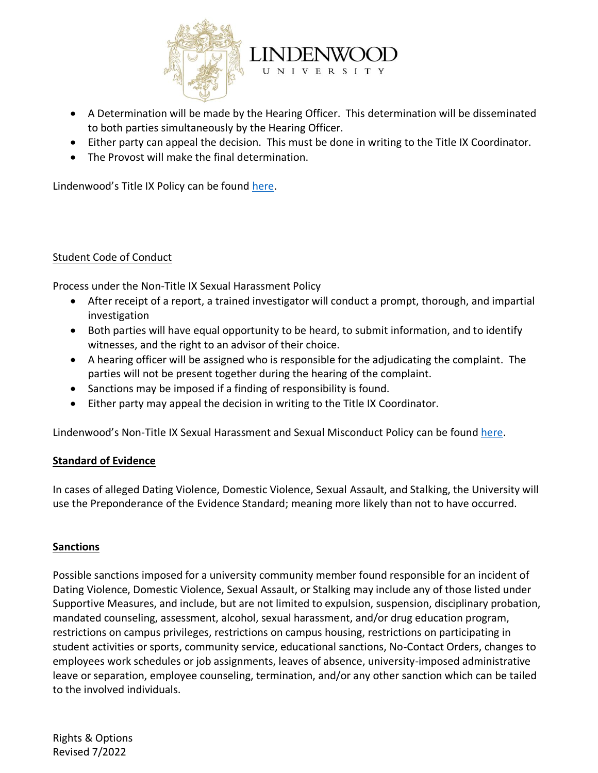

- A Determination will be made by the Hearing Officer. This determination will be disseminated to both parties simultaneously by the Hearing Officer.
- Either party can appeal the decision. This must be done in writing to the Title IX Coordinator.
- The Provost will make the final determination.

Lindenwood's Title IX Policy can be found [here.](https://www.lindenwood.edu/files/resources/lindenwood-title-ix-policy.pdf)

### Student Code of Conduct

Process under the Non-Title IX Sexual Harassment Policy

- After receipt of a report, a trained investigator will conduct a prompt, thorough, and impartial investigation
- Both parties will have equal opportunity to be heard, to submit information, and to identify witnesses, and the right to an advisor of their choice.
- A hearing officer will be assigned who is responsible for the adjudicating the complaint. The parties will not be present together during the hearing of the complaint.
- Sanctions may be imposed if a finding of responsibility is found.
- Either party may appeal the decision in writing to the Title IX Coordinator.

Lindenwood's Non-Title IX Sexual Harassment and Sexual Misconduct Policy can be found [here.](https://www.lindenwood.edu/files/resources/student-handbook.pdf)

### **Standard of Evidence**

In cases of alleged Dating Violence, Domestic Violence, Sexual Assault, and Stalking, the University will use the Preponderance of the Evidence Standard; meaning more likely than not to have occurred.

### **Sanctions**

Possible sanctions imposed for a university community member found responsible for an incident of Dating Violence, Domestic Violence, Sexual Assault, or Stalking may include any of those listed under Supportive Measures, and include, but are not limited to expulsion, suspension, disciplinary probation, mandated counseling, assessment, alcohol, sexual harassment, and/or drug education program, restrictions on campus privileges, restrictions on campus housing, restrictions on participating in student activities or sports, community service, educational sanctions, No-Contact Orders, changes to employees work schedules or job assignments, leaves of absence, university-imposed administrative leave or separation, employee counseling, termination, and/or any other sanction which can be tailed to the involved individuals.